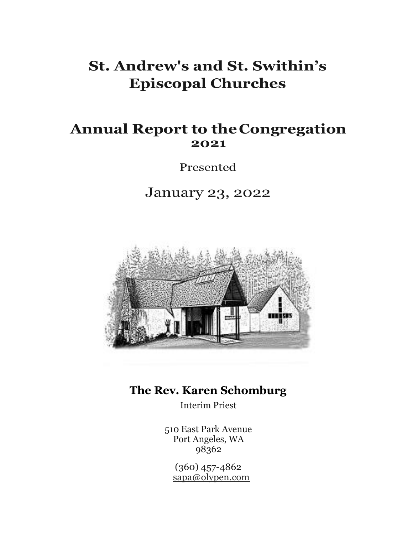# **St. Andrew's and St. Swithin's Episcopal Churches**

# **Annual Report to theCongregation 2021**

Presented

January 23, 2022



# **The Rev. Karen Schomburg**

Interim Priest

510 East Park Avenue Port Angeles, WA 98362

(360) 457-4862 [sapa@olypen.com](mailto:sapa@olypen.com)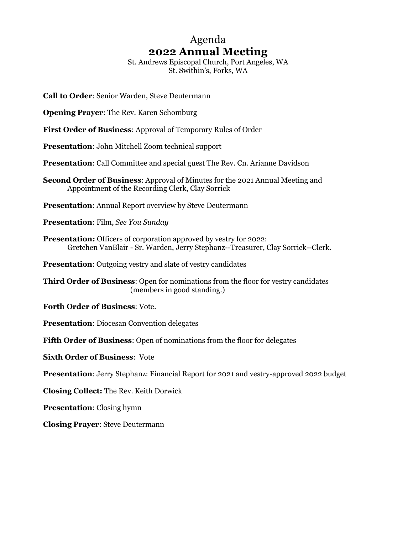# Agenda **2022 Annual Meeting**

St. Andrews Episcopal Church, Port Angeles, WA St. Swithin's, Forks, WA

- **Call to Order**: Senior Warden, Steve Deutermann
- **Opening Prayer**: The Rev. Karen Schomburg
- **First Order of Business**: Approval of Temporary Rules of Order

**Presentation**: John Mitchell Zoom technical support

**Presentation**: Call Committee and special guest The Rev. Cn. Arianne Davidson

- **Second Order of Business**: Approval of Minutes for the 2021 Annual Meeting and Appointment of the Recording Clerk, Clay Sorrick
- **Presentation**: Annual Report overview by Steve Deutermann
- **Presentation**: Film, *See You Sunday*
- **Presentation:** Officers of corporation approved by vestry for 2022: Gretchen VanBlair - Sr. Warden, Jerry Stephanz--Treasurer, Clay Sorrick--Clerk.
- **Presentation**: Outgoing vestry and slate of vestry candidates

**Third Order of Business**: Open for nominations from the floor for vestry candidates (members in good standing.)

- **Forth Order of Business**: Vote.
- **Presentation**: Diocesan Convention delegates
- **Fifth Order of Business**: Open of nominations from the floor for delegates
- **Sixth Order of Business**: Vote
- **Presentation**: Jerry Stephanz: Financial Report for 2021 and vestry-approved 2022 budget
- **Closing Collect:** The Rev. Keith Dorwick
- **Presentation**: Closing hymn
- **Closing Prayer**: Steve Deutermann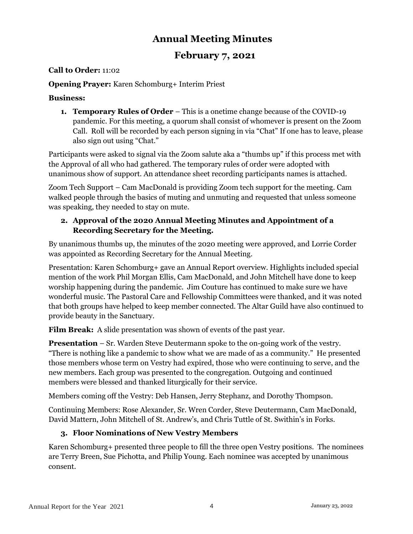### **Annual Meeting Minutes**

#### **February 7, 2021**

#### **Call to Order:** 11:02

#### **Opening Prayer:** Karen Schomburg+ Interim Priest

#### **Business:**

**1. Temporary Rules of Order** – This is a onetime change because of the COVID-19 pandemic. For this meeting, a quorum shall consist of whomever is present on the Zoom Call. Roll will be recorded by each person signing in via "Chat" If one has to leave, please also sign out using "Chat."

Participants were asked to signal via the Zoom salute aka a "thumbs up" if this process met with the Approval of all who had gathered. The temporary rules of order were adopted with unanimous show of support. An attendance sheet recording participants names is attached.

Zoom Tech Support – Cam MacDonald is providing Zoom tech support for the meeting. Cam walked people through the basics of muting and unmuting and requested that unless someone was speaking, they needed to stay on mute.

#### **2. Approval of the 2020 Annual Meeting Minutes and Appointment of a Recording Secretary for the Meeting.**

By unanimous thumbs up, the minutes of the 2020 meeting were approved, and Lorrie Corder was appointed as Recording Secretary for the Annual Meeting.

Presentation: Karen Schomburg+ gave an Annual Report overview. Highlights included special mention of the work Phil Morgan Ellis, Cam MacDonald, and John Mitchell have done to keep worship happening during the pandemic. Jim Couture has continued to make sure we have wonderful music. The Pastoral Care and Fellowship Committees were thanked, and it was noted that both groups have helped to keep member connected. The Altar Guild have also continued to provide beauty in the Sanctuary.

**Film Break:** A slide presentation was shown of events of the past year.

**Presentation** – Sr. Warden Steve Deutermann spoke to the on-going work of the vestry. "There is nothing like a pandemic to show what we are made of as a community." He presented those members whose term on Vestry had expired, those who were continuing to serve, and the new members. Each group was presented to the congregation. Outgoing and continued members were blessed and thanked liturgically for their service.

Members coming off the Vestry: Deb Hansen, Jerry Stephanz, and Dorothy Thompson.

Continuing Members: Rose Alexander, Sr. Wren Corder, Steve Deutermann, Cam MacDonald, David Mattern, John Mitchell of St. Andrew's, and Chris Tuttle of St. Swithin's in Forks.

#### **3. Floor Nominations of New Vestry Members**

Karen Schomburg+ presented three people to fill the three open Vestry positions. The nominees are Terry Breen, Sue Pichotta, and Philip Young. Each nominee was accepted by unanimous consent.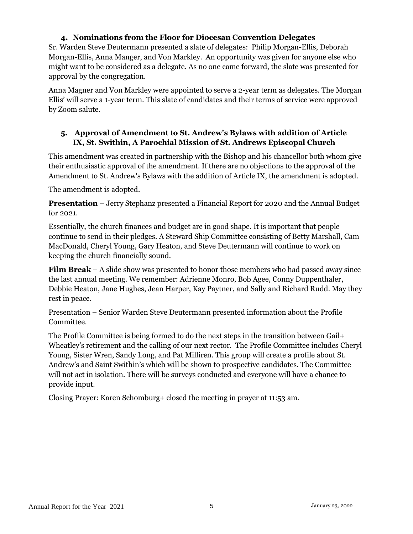#### **4. Nominations from the Floor for Diocesan Convention Delegates**

Sr. Warden Steve Deutermann presented a slate of delegates: Philip Morgan-Ellis, Deborah Morgan-Ellis, Anna Manger, and Von Markley. An opportunity was given for anyone else who might want to be considered as a delegate. As no one came forward, the slate was presented for approval by the congregation.

Anna Magner and Von Markley were appointed to serve a 2-year term as delegates. The Morgan Ellis' will serve a 1-year term. This slate of candidates and their terms of service were approved by Zoom salute.

#### **5. Approval of Amendment to St. Andrew's Bylaws with addition of Article IX, St. Swithin, A Parochial Mission of St. Andrews Episcopal Church**

This amendment was created in partnership with the Bishop and his chancellor both whom give their enthusiastic approval of the amendment. If there are no objections to the approval of the Amendment to St. Andrew's Bylaws with the addition of Article IX, the amendment is adopted.

The amendment is adopted.

**Presentation** – Jerry Stephanz presented a Financial Report for 2020 and the Annual Budget for 2021.

Essentially, the church finances and budget are in good shape. It is important that people continue to send in their pledges. A Steward Ship Committee consisting of Betty Marshall, Cam MacDonald, Cheryl Young, Gary Heaton, and Steve Deutermann will continue to work on keeping the church financially sound.

**Film Break** – A slide show was presented to honor those members who had passed away since the last annual meeting. We remember: Adrienne Monro, Bob Agee, Conny Duppenthaler, Debbie Heaton, Jane Hughes, Jean Harper, Kay Paytner, and Sally and Richard Rudd. May they rest in peace.

Presentation – Senior Warden Steve Deutermann presented information about the Profile Committee.

The Profile Committee is being formed to do the next steps in the transition between Gail+ Wheatley's retirement and the calling of our next rector. The Profile Committee includes Cheryl Young, Sister Wren, Sandy Long, and Pat Milliren. This group will create a profile about St. Andrew's and Saint Swithin's which will be shown to prospective candidates. The Committee will not act in isolation. There will be surveys conducted and everyone will have a chance to provide input.

Closing Prayer: Karen Schomburg+ closed the meeting in prayer at 11:53 am.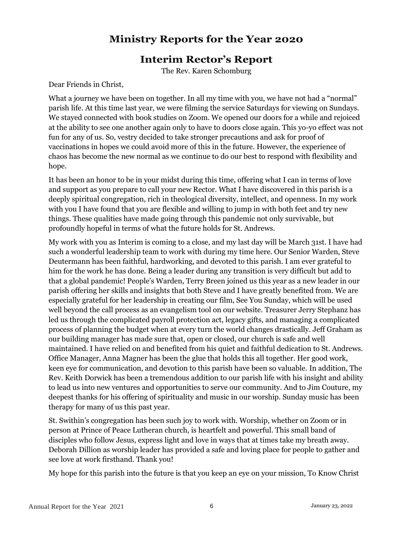#### **Ministry Reports for the Year 2020**

#### **Interim Rector's Report**

The Rev. Karen Schomburg

Dear Friends in Christ,

What a journey we have been on together. In all my time with you, we have not had a "normal" parish life. At this time last year, we were filming the service Saturdays for viewing on Sundays. We stayed connected with book studies on Zoom. We opened our doors for a while and rejoiced at the ability to see one another again only to have to doors close again. This yo-yo effect was not fun for any of us. So, vestry decided to take stronger precautions and ask for proof of vaccinations in hopes we could avoid more of this in the future. However, the experience of chaos has become the new normal as we continue to do our best to respond with flexibility and hope.

It has been an honor to be in your midst during this time, offering what I can in terms of love and support as you prepare to call your new Rector. What I have discovered in this parish is a deeply spiritual congregation, rich in theological diversity, intellect, and openness. In my work with you I have found that you are flexible and willing to jump in with both feet and try new things. These qualities have made going through this pandemic not only survivable, but profoundly hopeful in terms of what the future holds for St. Andrews.

My work with you as Interim is coming to a close, and my last day will be March 31st. I have had such a wonderful leadership team to work with during my time here. Our Senior Warden, Steve Deutermann has been faithful, hardworking, and devoted to this parish. I am ever grateful to him for the work he has done. Being a leader during any transition is very difficult but add to that a global pandemic! People's Warden, Terry Breen joined us this year as a new leader in our parish offering her skills and insights that both Steve and I have greatly benefited from. We are especially grateful for her leadership in creating our film, See You Sunday, which will be used well beyond the call process as an evangelism tool on our website. Treasurer Jerry Stephanz has led us through the complicated payroll protection act, legacy gifts, and managing a complicated process of planning the budget when at every turn the world changes drastically. Jeff Graham as our building manager has made sure that, open or closed, our church is safe and well maintained. I have relied on and benefited from his quiet and faithful dedication to St. Andrews. Office Manager, Anna Magner has been the glue that holds this all together. Her good work, keen eye for communication, and devotion to this parish have been so valuable. In addition, The Rev. Keith Dorwick has been a tremendous addition to our parish life with his insight and ability to lead us into new ventures and opportunities to serve our community. And to Jim Couture, my deepest thanks for his offering of spirituality and music in our worship. Sunday music has been therapy for many of us this past year.

St. Swithin's congregation has been such joy to work with. Worship, whether on Zoom or in person at Prince of Peace Lutheran church, is heartfelt and powerful. This small band of disciples who follow Jesus, express light and love in ways that at times take my breath away. Deborah Dillion as worship leader has provided a safe and loving place for people to gather and see love at work firsthand. Thank you!

My hope for this parish into the future is that you keep an eye on your mission, To Know Christ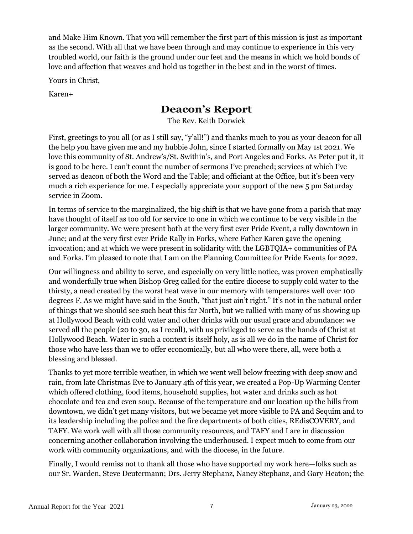and Make Him Known. That you will remember the first part of this mission is just as important as the second. With all that we have been through and may continue to experience in this very troubled world, our faith is the ground under our feet and the means in which we hold bonds of love and affection that weaves and hold us together in the best and in the worst of times.

Yours in Christ,

Karen+

#### **Deacon's Report**

The Rev. Keith Dorwick

First, greetings to you all (or as I still say, "y'all!") and thanks much to you as your deacon for all the help you have given me and my hubbie John, since I started formally on May 1st 2021. We love this community of St. Andrew's/St. Swithin's, and Port Angeles and Forks. As Peter put it, it is good to be here. I can't count the number of sermons I've preached; services at which I've served as deacon of both the Word and the Table; and officiant at the Office, but it's been very much a rich experience for me. I especially appreciate your support of the new 5 pm Saturday service in Zoom.

In terms of service to the marginalized, the big shift is that we have gone from a parish that may have thought of itself as too old for service to one in which we continue to be very visible in the larger community. We were present both at the very first ever Pride Event, a rally downtown in June; and at the very first ever Pride Rally in Forks, where Father Karen gave the opening invocation; and at which we were present in solidarity with the LGBTQIA+ communities of PA and Forks. I'm pleased to note that I am on the Planning Committee for Pride Events for 2022.

Our willingness and ability to serve, and especially on very little notice, was proven emphatically and wonderfully true when Bishop Greg called for the entire diocese to supply cold water to the thirsty, a need created by the worst heat wave in our memory with temperatures well over 100 degrees F. As we might have said in the South, "that just ain't right." It's not in the natural order of things that we should see such heat this far North, but we rallied with many of us showing up at Hollywood Beach with cold water and other drinks with our usual grace and abundance: we served all the people (20 to 30, as I recall), with us privileged to serve as the hands of Christ at Hollywood Beach. Water in such a context is itself holy, as is all we do in the name of Christ for those who have less than we to offer economically, but all who were there, all, were both a blessing and blessed.

Thanks to yet more terrible weather, in which we went well below freezing with deep snow and rain, from late Christmas Eve to January 4th of this year, we created a Pop-Up Warming Center which offered clothing, food items, household supplies, hot water and drinks such as hot chocolate and tea and even soup. Because of the temperature and our location up the hills from downtown, we didn't get many visitors, but we became yet more visible to PA and Sequim and to its leadership including the police and the fire departments of both cities, REdisCOVERY, and TAFY. We work well with all those community resources, and TAFY and I are in discussion concerning another collaboration involving the underhoused. I expect much to come from our work with community organizations, and with the diocese, in the future.

Finally, I would remiss not to thank all those who have supported my work here—folks such as our Sr. Warden, Steve Deutermann; Drs. Jerry Stephanz, Nancy Stephanz, and Gary Heaton; the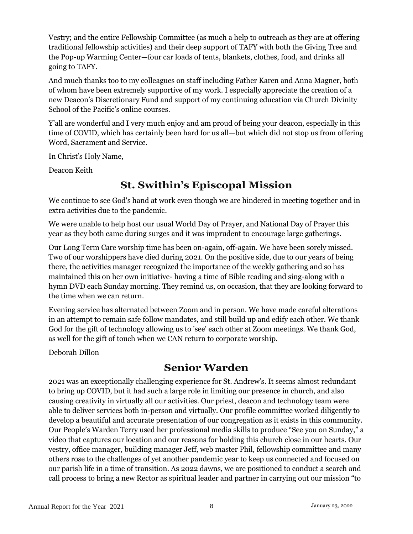Vestry; and the entire Fellowship Committee (as much a help to outreach as they are at offering traditional fellowship activities) and their deep support of TAFY with both the Giving Tree and the Pop-up Warming Center—four car loads of tents, blankets, clothes, food, and drinks all going to TAFY.

And much thanks too to my colleagues on staff including Father Karen and Anna Magner, both of whom have been extremely supportive of my work. I especially appreciate the creation of a new Deacon's Discretionary Fund and support of my continuing education via Church Divinity School of the Pacific's online courses.

Y'all are wonderful and I very much enjoy and am proud of being your deacon, especially in this time of COVID, which has certainly been hard for us all—but which did not stop us from offering Word, Sacrament and Service.

In Christ's Holy Name,

Deacon Keith

### **St. Swithin's Episcopal Mission**

We continue to see God's hand at work even though we are hindered in meeting together and in extra activities due to the pandemic.

We were unable to help host our usual World Day of Prayer, and National Day of Prayer this year as they both came during surges and it was imprudent to encourage large gatherings.

Our Long Term Care worship time has been on-again, off-again. We have been sorely missed. Two of our worshippers have died during 2021. On the positive side, due to our years of being there, the activities manager recognized the importance of the weekly gathering and so has maintained this on her own initiative- having a time of Bible reading and sing-along with a hymn DVD each Sunday morning. They remind us, on occasion, that they are looking forward to the time when we can return.

Evening service has alternated between Zoom and in person. We have made careful alterations in an attempt to remain safe follow mandates, and still build up and edify each other. We thank God for the gift of technology allowing us to 'see' each other at Zoom meetings. We thank God, as well for the gift of touch when we CAN return to corporate worship.

Deborah Dillon

### **Senior Warden**

2021 was an exceptionally challenging experience for St. Andrew's. It seems almost redundant to bring up COVID, but it had such a large role in limiting our presence in church, and also causing creativity in virtually all our activities. Our priest, deacon and technology team were able to deliver services both in-person and virtually. Our profile committee worked diligently to develop a beautiful and accurate presentation of our congregation as it exists in this community. Our People's Warden Terry used her professional media skills to produce "See you on Sunday," a video that captures our location and our reasons for holding this church close in our hearts. Our vestry, office manager, building manager Jeff, web master Phil, fellowship committee and many others rose to the challenges of yet another pandemic year to keep us connected and focused on our parish life in a time of transition. As 2022 dawns, we are positioned to conduct a search and call process to bring a new Rector as spiritual leader and partner in carrying out our mission "to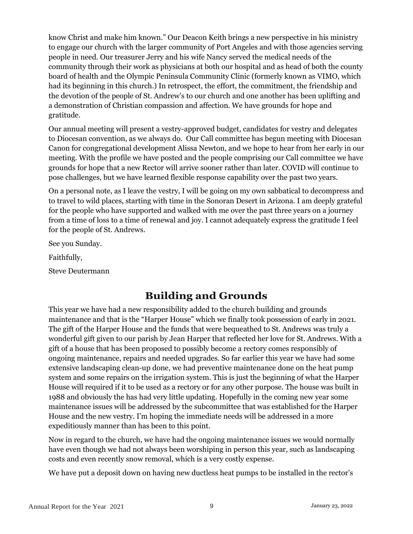know Christ and make him known." Our Deacon Keith brings a new perspective in his ministry to engage our church with the larger community of Port Angeles and with those agencies serving people in need. Our treasurer Jerry and his wife Nancy served the medical needs of the community through their work as physicians at both our hospital and as head of both the county board of health and the Olympic Peninsula Community Clinic (formerly known as VIMO, which had its beginning in this church.) In retrospect, the effort, the commitment, the friendship and the devotion of the people of St. Andrew's to our church and one another has been uplifting and a demonstration of Christian compassion and affection. We have grounds for hope and gratitude.

Our annual meeting will present a vestry-approved budget, candidates for vestry and delegates to Diocesan convention, as we always do. Our Call committee has begun meeting with Diocesan Canon for congregational development Alissa Newton, and we hope to hear from her early in our meeting. With the profile we have posted and the people comprising our Call committee we have grounds for hope that a new Rector will arrive sooner rather than later. COVID will continue to pose challenges, but we have learned flexible response capability over the past two years.

On a personal note, as I leave the vestry, I will be going on my own sabbatical to decompress and to travel to wild places, starting with time in the Sonoran Desert in Arizona. I am deeply grateful for the people who have supported and walked with me over the past three years on a journey from a time of loss to a time of renewal and joy. I cannot adequately express the gratitude I feel for the people of St. Andrews.

See you Sunday.

Faithfully,

Steve Deutermann

# **Building and Grounds**

This year we have had a new responsibility added to the church building and grounds maintenance and that is the "Harper House" which we finally took possession of early in 2021. The gift of the Harper House and the funds that were bequeathed to St. Andrews was truly a wonderful gift given to our parish by Jean Harper that reflected her love for St. Andrews. With a gift of a house that has been proposed to possibly become a rectory comes responsibly of ongoing maintenance, repairs and needed upgrades. So far earlier this year we have had some extensive landscaping clean-up done, we had preventive maintenance done on the heat pump system and some repairs on the irrigation system. This is just the beginning of what the Harper House will required if it to be used as a rectory or for any other purpose. The house was built in 1988 and obviously the has had very little updating. Hopefully in the coming new year some maintenance issues will be addressed by the subcommittee that was established for the Harper House and the new vestry. I'm hoping the immediate needs will be addressed in a more expeditiously manner than has been to this point.

Now in regard to the church, we have had the ongoing maintenance issues we would normally have even though we had not always been worshiping in person this year, such as landscaping costs and even recently snow removal, which is a very costly expense.

We have put a deposit down on having new ductless heat pumps to be installed in the rector's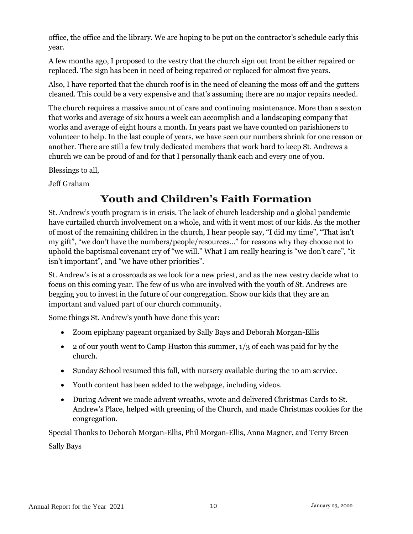office, the office and the library. We are hoping to be put on the contractor's schedule early this year.

A few months ago, I proposed to the vestry that the church sign out front be either repaired or replaced. The sign has been in need of being repaired or replaced for almost five years.

Also, I have reported that the church roof is in the need of cleaning the moss off and the gutters cleaned. This could be a very expensive and that's assuming there are no major repairs needed.

The church requires a massive amount of care and continuing maintenance. More than a sexton that works and average of six hours a week can accomplish and a landscaping company that works and average of eight hours a month. In years past we have counted on parishioners to volunteer to help. In the last couple of years, we have seen our numbers shrink for one reason or another. There are still a few truly dedicated members that work hard to keep St. Andrews a church we can be proud of and for that I personally thank each and every one of you.

Blessings to all,

Jeff Graham

# **Youth and Children's Faith Formation**

St. Andrew's youth program is in crisis. The lack of church leadership and a global pandemic have curtailed church involvement on a whole, and with it went most of our kids. As the mother of most of the remaining children in the church, I hear people say, "I did my time", "That isn't my gift", "we don't have the numbers/people/resources…" for reasons why they choose not to uphold the baptismal covenant cry of "we will." What I am really hearing is "we don't care", "it isn't important", and "we have other priorities".

St. Andrew's is at a crossroads as we look for a new priest, and as the new vestry decide what to focus on this coming year. The few of us who are involved with the youth of St. Andrews are begging you to invest in the future of our congregation. Show our kids that they are an important and valued part of our church community.

Some things St. Andrew's youth have done this year:

- Zoom epiphany pageant organized by Sally Bays and Deborah Morgan-Ellis
- 2 of our youth went to Camp Huston this summer,  $1/3$  of each was paid for by the church.
- Sunday School resumed this fall, with nursery available during the 10 am service.
- Youth content has been added to the webpage, including videos.
- During Advent we made advent wreaths, wrote and delivered Christmas Cards to St. Andrew's Place, helped with greening of the Church, and made Christmas cookies for the congregation.

Special Thanks to Deborah Morgan-Ellis, Phil Morgan-Ellis, Anna Magner, and Terry Breen Sally Bays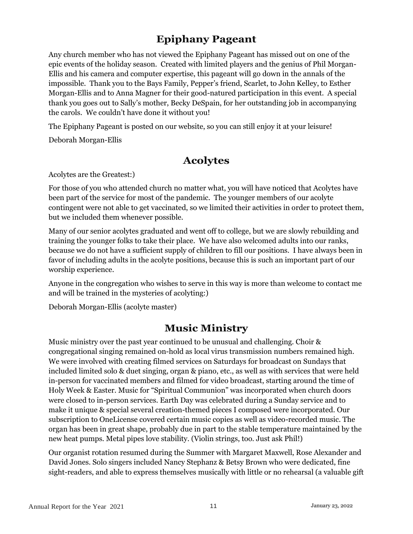### **Epiphany Pageant**

Any church member who has not viewed the Epiphany Pageant has missed out on one of the epic events of the holiday season. Created with limited players and the genius of Phil Morgan-Ellis and his camera and computer expertise, this pageant will go down in the annals of the impossible. Thank you to the Bays Family, Pepper's friend, Scarlet, to John Kelley, to Esther Morgan-Ellis and to Anna Magner for their good-natured participation in this event. A special thank you goes out to Sally's mother, Becky DeSpain, for her outstanding job in accompanying the carols. We couldn't have done it without you!

The Epiphany Pageant is posted on our website, so you can still enjoy it at your leisure!

Deborah Morgan-Ellis

#### **Acolytes**

Acolytes are the Greatest:)

For those of you who attended church no matter what, you will have noticed that Acolytes have been part of the service for most of the pandemic. The younger members of our acolyte contingent were not able to get vaccinated, so we limited their activities in order to protect them, but we included them whenever possible.

Many of our senior acolytes graduated and went off to college, but we are slowly rebuilding and training the younger folks to take their place. We have also welcomed adults into our ranks, because we do not have a sufficient supply of children to fill our positions. I have always been in favor of including adults in the acolyte positions, because this is such an important part of our worship experience.

Anyone in the congregation who wishes to serve in this way is more than welcome to contact me and will be trained in the mysteries of acolyting:)

Deborah Morgan-Ellis (acolyte master)

#### **Music Ministry**

Music ministry over the past year continued to be unusual and challenging. Choir & congregational singing remained on-hold as local virus transmission numbers remained high. We were involved with creating filmed services on Saturdays for broadcast on Sundays that included limited solo & duet singing, organ & piano, etc., as well as with services that were held in-person for vaccinated members and filmed for video broadcast, starting around the time of Holy Week & Easter. Music for "Spiritual Communion" was incorporated when church doors were closed to in-person services. Earth Day was celebrated during a Sunday service and to make it unique & special several creation-themed pieces I composed were incorporated. Our subscription to OneLicense covered certain music copies as well as video-recorded music. The organ has been in great shape, probably due in part to the stable temperature maintained by the new heat pumps. Metal pipes love stability. (Violin strings, too. Just ask Phil!)

Our organist rotation resumed during the Summer with Margaret Maxwell, Rose Alexander and David Jones. Solo singers included Nancy Stephanz & Betsy Brown who were dedicated, fine sight-readers, and able to express themselves musically with little or no rehearsal (a valuable gift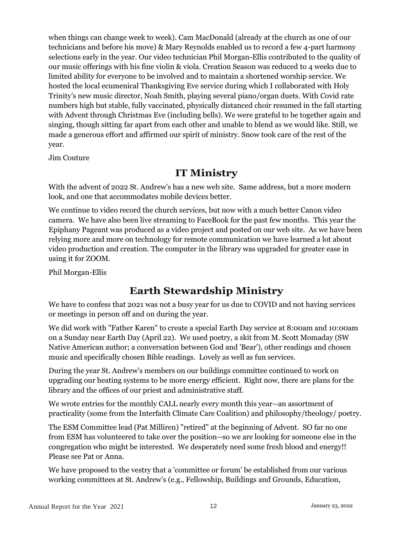when things can change week to week). Cam MacDonald (already at the church as one of our technicians and before his move) & Mary Reynolds enabled us to record a few 4-part harmony selections early in the year. Our video technician Phil Morgan-Ellis contributed to the quality of our music offerings with his fine violin & viola. Creation Season was reduced to 4 weeks due to limited ability for everyone to be involved and to maintain a shortened worship service. We hosted the local ecumenical Thanksgiving Eve service during which I collaborated with Holy Trinity's new music director, Noah Smith, playing several piano/organ duets. With Covid rate numbers high but stable, fully vaccinated, physically distanced choir resumed in the fall starting with Advent through Christmas Eve (including bells). We were grateful to be together again and singing, though sitting far apart from each other and unable to blend as we would like. Still, we made a generous effort and affirmed our spirit of ministry. Snow took care of the rest of the year.

Jim Couture

#### **IT Ministry**

With the advent of 2022 St. Andrew's has a new web site. Same address, but a more modern look, and one that accommodates mobile devices better.

We continue to video record the church services, but now with a much better Canon video camera. We have also been live streaming to FaceBook for the past few months. This year the Epiphany Pageant was produced as a video project and posted on our web site. As we have been relying more and more on technology for remote communication we have learned a lot about video production and creation. The computer in the library was upgraded for greater ease in using it for ZOOM.

Phil Morgan-Ellis

#### **Earth Stewardship Ministry**

We have to confess that 2021 was not a busy year for us due to COVID and not having services or meetings in person off and on during the year.

We did work with "Father Karen" to create a special Earth Day service at 8:00am and 10:00am on a Sunday near Earth Day (April 22). We used poetry, a skit from M. Scott Momaday (SW Native American author; a conversation between God and 'Bear'), other readings and chosen music and specifically chosen Bible readings. Lovely as well as fun services.

During the year St. Andrew's members on our buildings committee continued to work on upgrading our heating systems to be more energy efficient. Right now, there are plans for the library and the offices of our priest and administrative staff.

We wrote entries for the monthly CALL nearly every month this year--an assortment of practicality (some from the Interfaith Climate Care Coalition) and philosophy/theology/ poetry.

The ESM Committee lead (Pat Milliren) "retired" at the beginning of Advent. SO far no one from ESM has volunteered to take over the position--so we are looking for someone else in the congregation who might be interested. We desperately need some fresh blood and energy!! Please see Pat or Anna.

We have proposed to the vestry that a 'committee or forum' be established from our various working committees at St. Andrew's (e.g., Fellowship, Buildings and Grounds, Education,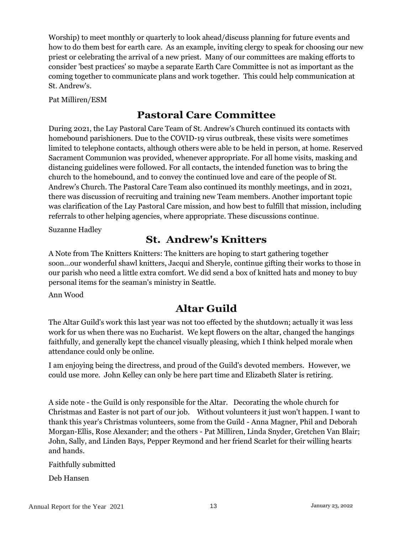Worship) to meet monthly or quarterly to look ahead/discuss planning for future events and how to do them best for earth care. As an example, inviting clergy to speak for choosing our new priest or celebrating the arrival of a new priest. Many of our committees are making efforts to consider 'best practices' so maybe a separate Earth Care Committee is not as important as the coming together to communicate plans and work together. This could help communication at St. Andrew's.

Pat Milliren/ESM

### **Pastoral Care Committee**

During 2021, the Lay Pastoral Care Team of St. Andrew's Church continued its contacts with homebound parishioners. Due to the COVID-19 virus outbreak, these visits were sometimes limited to telephone contacts, although others were able to be held in person, at home. Reserved Sacrament Communion was provided, whenever appropriate. For all home visits, masking and distancing guidelines were followed. For all contacts, the intended function was to bring the church to the homebound, and to convey the continued love and care of the people of St. Andrew's Church. The Pastoral Care Team also continued its monthly meetings, and in 2021, there was discussion of recruiting and training new Team members. Another important topic was clarification of the Lay Pastoral Care mission, and how best to fulfill that mission, including referrals to other helping agencies, where appropriate. These discussions continue.

Suzanne Hadley

### **St. Andrew's Knitters**

A Note from The Knitters Knitters: The knitters are hoping to start gathering together soon...our wonderful shawl knitters, Jacqui and Sheryle, continue gifting their works to those in our parish who need a little extra comfort. We did send a box of knitted hats and money to buy personal items for the seaman's ministry in Seattle.

Ann Wood

# **Altar Guild**

The Altar Guild's work this last year was not too effected by the shutdown; actually it was less work for us when there was no Eucharist. We kept flowers on the altar, changed the hangings faithfully, and generally kept the chancel visually pleasing, which I think helped morale when attendance could only be online.

I am enjoying being the directress, and proud of the Guild's devoted members. However, we could use more. John Kelley can only be here part time and Elizabeth Slater is retiring.

A side note - the Guild is only responsible for the Altar. Decorating the whole church for Christmas and Easter is not part of our job. Without volunteers it just won't happen. I want to thank this year's Christmas volunteers, some from the Guild - Anna Magner, Phil and Deborah Morgan-Ellis, Rose Alexander; and the others - Pat Milliren, Linda Snyder, Gretchen Van Blair; John, Sally, and Linden Bays, Pepper Reymond and her friend Scarlet for their willing hearts and hands.

Faithfully submitted

Deb Hansen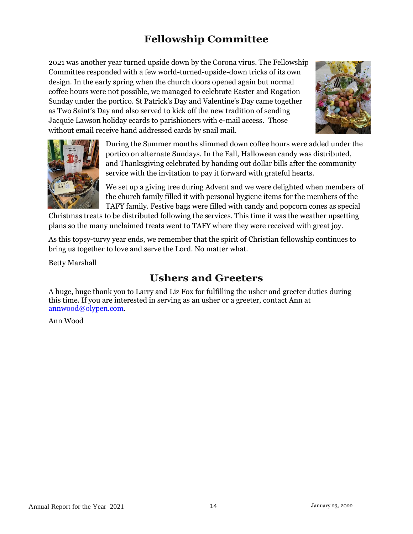# **Fellowship Committee**

2021 was another year turned upside down by the Corona virus. The Fellowship Committee responded with a few world-turned-upside-down tricks of its own design. In the early spring when the church doors opened again but normal coffee hours were not possible, we managed to celebrate Easter and Rogation Sunday under the portico. St Patrick's Day and Valentine's Day came together as Two Saint's Day and also served to kick off the new tradition of sending Jacquie Lawson holiday ecards to parishioners with e-mail access. Those without email receive hand addressed cards by snail mail.





During the Summer months slimmed down coffee hours were added under the portico on alternate Sundays. In the Fall, Halloween candy was distributed, and Thanksgiving celebrated by handing out dollar bills after the community service with the invitation to pay it forward with grateful hearts.

We set up a giving tree during Advent and we were delighted when members of the church family filled it with personal hygiene items for the members of the TAFY family. Festive bags were filled with candy and popcorn cones as special

Christmas treats to be distributed following the services. This time it was the weather upsetting plans so the many unclaimed treats went to TAFY where they were received with great joy.

As this topsy-turvy year ends, we remember that the spirit of Christian fellowship continues to bring us together to love and serve the Lord. No matter what.

Betty Marshall

# **Ushers and Greeters**

A huge, huge thank you to Larry and Liz Fox for fulfilling the usher and greeter duties during this time. If you are interested in serving as an usher or a greeter, contact Ann at [annwood@olypen.com.](mailto:annwood@olypen.com)

Ann Wood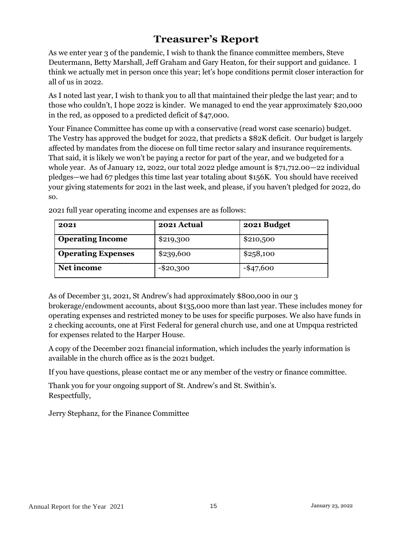### **Treasurer's Report**

As we enter year 3 of the pandemic, I wish to thank the finance committee members, Steve Deutermann, Betty Marshall, Jeff Graham and Gary Heaton, for their support and guidance. I think we actually met in person once this year; let's hope conditions permit closer interaction for all of us in 2022.

As I noted last year, I wish to thank you to all that maintained their pledge the last year; and to those who couldn't, I hope 2022 is kinder. We managed to end the year approximately \$20,000 in the red, as opposed to a predicted deficit of \$47,000.

Your Finance Committee has come up with a conservative (read worst case scenario) budget. The Vestry has approved the budget for 2022, that predicts a \$82K deficit. Our budget is largely affected by mandates from the diocese on full time rector salary and insurance requirements. That said, it is likely we won't be paying a rector for part of the year, and we budgeted for a whole year. As of January 12, 2022, our total 2022 pledge amount is \$71,712.00—22 individual pledges—we had 67 pledges this time last year totaling about \$156K. You should have received your giving statements for 2021 in the last week, and please, if you haven't pledged for 2022, do so.

| 2021                      | 2021 Actual  | 2021 Budget  |
|---------------------------|--------------|--------------|
| <b>Operating Income</b>   | \$219,300    | \$210,500    |
| <b>Operating Expenses</b> | \$239,600    | \$258,100    |
| Net income                | $-$ \$20,300 | $-$ \$47,600 |

2021 full year operating income and expenses are as follows:

As of December 31, 2021, St Andrew's had approximately \$800,000 in our 3 brokerage/endowment accounts, about \$135,000 more than last year. These includes money for operating expenses and restricted money to be uses for specific purposes. We also have funds in 2 checking accounts, one at First Federal for general church use, and one at Umpqua restricted for expenses related to the Harper House.

A copy of the December 2021 financial information, which includes the yearly information is available in the church office as is the 2021 budget.

If you have questions, please contact me or any member of the vestry or finance committee.

Thank you for your ongoing support of St. Andrew's and St. Swithin's. Respectfully,

Jerry Stephanz, for the Finance Committee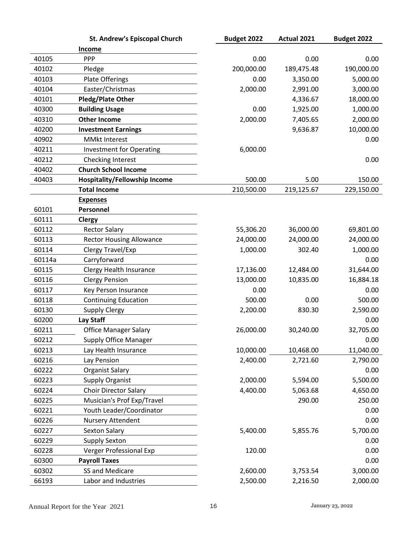|        | <b>St. Andrew's Episcopal Church</b> | Budget 2022 | Actual 2021 | Budget 2022 |
|--------|--------------------------------------|-------------|-------------|-------------|
|        | <u>Income</u>                        |             |             |             |
| 40105  | PPP                                  | 0.00        | 0.00        | 0.00        |
| 40102  | Pledge                               | 200,000.00  | 189,475.48  | 190,000.00  |
| 40103  | <b>Plate Offerings</b>               | 0.00        | 3,350.00    | 5,000.00    |
| 40104  | Easter/Christmas                     | 2,000.00    | 2,991.00    | 3,000.00    |
| 40101  | <b>Pledg/Plate Other</b>             |             | 4,336.67    | 18,000.00   |
| 40300  | <b>Building Usage</b>                | 0.00        | 1,925.00    | 1,000.00    |
| 40310  | <b>Other Income</b>                  | 2,000.00    | 7,405.65    | 2,000.00    |
| 40200  | <b>Investment Earnings</b>           |             | 9,636.87    | 10,000.00   |
| 40902  | <b>MMkt Interest</b>                 |             |             | 0.00        |
| 40211  | <b>Investment for Operating</b>      | 6,000.00    |             |             |
| 40212  | Checking Interest                    |             |             | 0.00        |
| 40402  | <b>Church School Income</b>          |             |             |             |
| 40403  | <b>Hospitality/Fellowship Income</b> | 500.00      | 5.00        | 150.00      |
|        | <b>Total Income</b>                  | 210,500.00  | 219,125.67  | 229,150.00  |
|        | <b>Expenses</b>                      |             |             |             |
| 60101  | Personnel                            |             |             |             |
| 60111  | <b>Clergy</b>                        |             |             |             |
| 60112  | <b>Rector Salary</b>                 | 55,306.20   | 36,000.00   | 69,801.00   |
| 60113  | <b>Rector Housing Allowance</b>      | 24,000.00   | 24,000.00   | 24,000.00   |
| 60114  | Clergy Travel/Exp                    | 1,000.00    | 302.40      | 1,000.00    |
| 60114a | Carryforward                         |             |             | 0.00        |
| 60115  | Clergy Health Insurance              | 17,136.00   | 12,484.00   | 31,644.00   |
| 60116  | <b>Clergy Pension</b>                | 13,000.00   | 10,835.00   | 16,884.18   |
| 60117  | Key Person Insurance                 | 0.00        |             | 0.00        |
| 60118  | <b>Continuing Education</b>          | 500.00      | 0.00        | 500.00      |
| 60130  | <b>Supply Clergy</b>                 | 2,200.00    | 830.30      | 2,590.00    |
| 60200  | Lay Staff                            |             |             | 0.00        |
| 60211  | <b>Office Manager Salary</b>         | 26,000.00   | 30,240.00   | 32,705.00   |
| 60212  | <b>Supply Office Manager</b>         |             |             | 0.00        |
| 60213  | Lay Health Insurance                 | 10,000.00   | 10,468.00   | 11,040.00   |
| 60216  | Lay Pension                          | 2,400.00    | 2,721.60    | 2,790.00    |
| 60222  | <b>Organist Salary</b>               |             |             | 0.00        |
| 60223  | <b>Supply Organist</b>               | 2,000.00    | 5,594.00    | 5,500.00    |
| 60224  | <b>Choir Director Salary</b>         | 4,400.00    | 5,063.68    | 4,650.00    |
| 60225  | Musician's Prof Exp/Travel           |             | 290.00      | 250.00      |
| 60221  | Youth Leader/Coordinator             |             |             | 0.00        |
| 60226  | Nursery Attendent                    |             |             | 0.00        |
| 60227  | Sexton Salary                        | 5,400.00    | 5,855.76    | 5,700.00    |
| 60229  | <b>Supply Sexton</b>                 |             |             | 0.00        |
| 60228  | Verger Professional Exp              | 120.00      |             | 0.00        |
| 60300  | <b>Payroll Taxes</b>                 |             |             | 0.00        |
| 60302  | SS and Medicare                      | 2,600.00    | 3,753.54    | 3,000.00    |
| 66193  | Labor and Industries                 | 2,500.00    | 2,216.50    | 2,000.00    |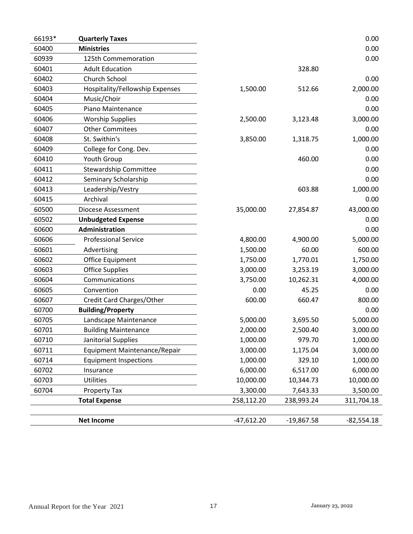| 66193* | <b>Quarterly Taxes</b>          |              |              | 0.00         |
|--------|---------------------------------|--------------|--------------|--------------|
| 60400  | <b>Ministries</b>               |              |              | 0.00         |
| 60939  | 125th Commemoration             |              |              | 0.00         |
| 60401  | <b>Adult Education</b>          |              | 328.80       |              |
| 60402  | Church School                   |              |              | 0.00         |
| 60403  | Hospitality/Fellowship Expenses | 1,500.00     | 512.66       | 2,000.00     |
| 60404  | Music/Choir                     |              |              | 0.00         |
| 60405  | Piano Maintenance               |              |              | 0.00         |
| 60406  | <b>Worship Supplies</b>         | 2,500.00     | 3,123.48     | 3,000.00     |
| 60407  | <b>Other Commitees</b>          |              |              | 0.00         |
| 60408  | St. Swithin's                   | 3,850.00     | 1,318.75     | 1,000.00     |
| 60409  | College for Cong. Dev.          |              |              | 0.00         |
| 60410  | Youth Group                     |              | 460.00       | 0.00         |
| 60411  | <b>Stewardship Committee</b>    |              |              | 0.00         |
| 60412  | Seminary Scholarship            |              |              | 0.00         |
| 60413  | Leadership/Vestry               |              | 603.88       | 1,000.00     |
| 60415  | Archival                        |              |              | 0.00         |
| 60500  | Diocese Assessment              | 35,000.00    | 27,854.87    | 43,000.00    |
| 60502  | <b>Unbudgeted Expense</b>       |              |              | 0.00         |
| 60600  | Administration                  |              |              | 0.00         |
| 60606  | <b>Professional Service</b>     | 4,800.00     | 4,900.00     | 5,000.00     |
| 60601  | Advertising                     | 1,500.00     | 60.00        | 600.00       |
| 60602  | Office Equipment                | 1,750.00     | 1,770.01     | 1,750.00     |
| 60603  | <b>Office Supplies</b>          | 3,000.00     | 3,253.19     | 3,000.00     |
| 60604  | Communications                  | 3,750.00     | 10,262.31    | 4,000.00     |
| 60605  | Convention                      | 0.00         | 45.25        | 0.00         |
| 60607  | Credit Card Charges/Other       | 600.00       | 660.47       | 800.00       |
| 60700  | <b>Building/Property</b>        |              |              | 0.00         |
| 60705  | Landscape Maintenance           | 5,000.00     | 3,695.50     | 5,000.00     |
| 60701  | <b>Building Maintenance</b>     | 2,000.00     | 2,500.40     | 3,000.00     |
| 60710  | Janitorial Supplies             | 1,000.00     | 979.70       | 1,000.00     |
| 60711  | Equipment Maintenance/Repair    | 3,000.00     | 1,175.04     | 3,000.00     |
| 60714  | <b>Equipment Inspections</b>    | 1,000.00     | 329.10       | 1,000.00     |
| 60702  | Insurance                       | 6,000.00     | 6,517.00     | 6,000.00     |
| 60703  | <b>Utilities</b>                | 10,000.00    | 10,344.73    | 10,000.00    |
| 60704  | <b>Property Tax</b>             | 3,300.00     | 7,643.33     | 3,500.00     |
|        | <b>Total Expense</b>            | 258,112.20   | 238,993.24   | 311,704.18   |
|        |                                 |              |              |              |
|        | <b>Net Income</b>               | $-47,612.20$ | $-19,867.58$ | $-82,554.18$ |